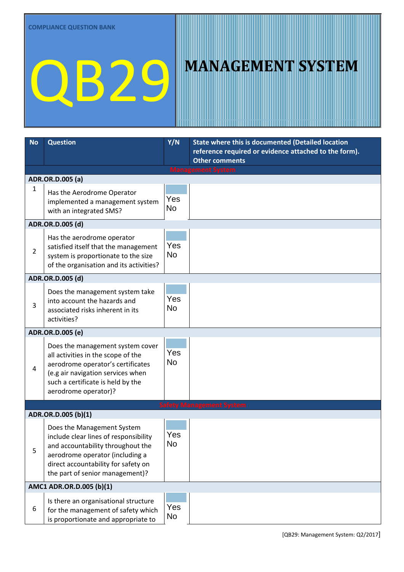| <b>No</b> | <b>Question</b>                                                                                                                                                                                                       | Y/N              | <b>State where this is documented (Detailed location</b>                       |
|-----------|-----------------------------------------------------------------------------------------------------------------------------------------------------------------------------------------------------------------------|------------------|--------------------------------------------------------------------------------|
|           |                                                                                                                                                                                                                       |                  | reference required or evidence attached to the form).<br><b>Other comments</b> |
|           |                                                                                                                                                                                                                       |                  | <b>Management System</b>                                                       |
|           | ADR.OR.D.005 (a)                                                                                                                                                                                                      |                  |                                                                                |
| 1         | Has the Aerodrome Operator<br>implemented a management system<br>with an integrated SMS?                                                                                                                              | Yes<br><b>No</b> |                                                                                |
|           | ADR.OR.D.005 (d)                                                                                                                                                                                                      |                  |                                                                                |
| 2         | Has the aerodrome operator<br>satisfied itself that the management<br>system is proportionate to the size<br>of the organisation and its activities?                                                                  | Yes<br><b>No</b> |                                                                                |
|           | ADR.OR.D.005 (d)                                                                                                                                                                                                      |                  |                                                                                |
| 3         | Does the management system take<br>into account the hazards and<br>associated risks inherent in its<br>activities?                                                                                                    | Yes<br>No        |                                                                                |
|           | ADR.OR.D.005 (e)                                                                                                                                                                                                      |                  |                                                                                |
| 4         | Does the management system cover<br>all activities in the scope of the<br>aerodrome operator's certificates<br>(e.g air navigation services when<br>such a certificate is held by the<br>aerodrome operator)?         | Yes<br>No        |                                                                                |
|           |                                                                                                                                                                                                                       |                  | <b>Safety Management System</b>                                                |
|           | ADR.OR.D.005 (b)(1)                                                                                                                                                                                                   |                  |                                                                                |
| 5         | Does the Management System<br>include clear lines of responsibility<br>and accountability throughout the<br>aerodrome operator (including a<br>direct accountability for safety on<br>the part of senior management)? | Yes<br>No        |                                                                                |
|           | AMC1 ADR.OR.D.005 (b)(1)                                                                                                                                                                                              |                  |                                                                                |
| 6         | Is there an organisational structure<br>for the management of safety which<br>is proportionate and appropriate to                                                                                                     | Yes<br>No        |                                                                                |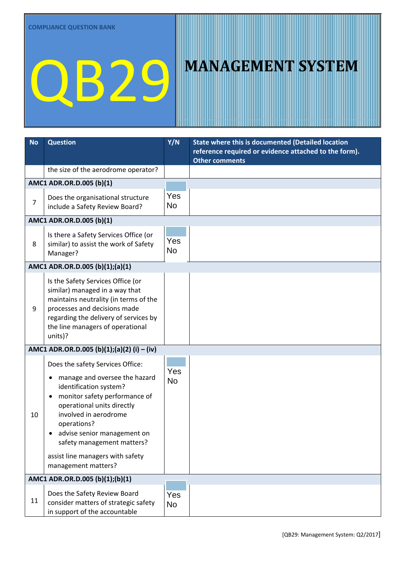| <b>No</b>      | <b>Question</b>                                                                                                                                                                                                                                                                                                                              | Y/N              | <b>State where this is documented (Detailed location</b>                       |
|----------------|----------------------------------------------------------------------------------------------------------------------------------------------------------------------------------------------------------------------------------------------------------------------------------------------------------------------------------------------|------------------|--------------------------------------------------------------------------------|
|                |                                                                                                                                                                                                                                                                                                                                              |                  | reference required or evidence attached to the form).<br><b>Other comments</b> |
|                | the size of the aerodrome operator?                                                                                                                                                                                                                                                                                                          |                  |                                                                                |
|                | AMC1 ADR.OR.D.005 (b)(1)                                                                                                                                                                                                                                                                                                                     |                  |                                                                                |
| $\overline{7}$ | Does the organisational structure<br>include a Safety Review Board?                                                                                                                                                                                                                                                                          | Yes<br>No        |                                                                                |
|                | AMC1 ADR.OR.D.005 (b)(1)                                                                                                                                                                                                                                                                                                                     |                  |                                                                                |
| 8              | Is there a Safety Services Office (or<br>similar) to assist the work of Safety<br>Manager?                                                                                                                                                                                                                                                   | Yes<br><b>No</b> |                                                                                |
|                | AMC1 ADR.OR.D.005 (b)(1);(a)(1)                                                                                                                                                                                                                                                                                                              |                  |                                                                                |
| 9              | Is the Safety Services Office (or<br>similar) managed in a way that<br>maintains neutrality (in terms of the<br>processes and decisions made<br>regarding the delivery of services by<br>the line managers of operational<br>units)?                                                                                                         | Yes<br><b>No</b> |                                                                                |
|                | AMC1 ADR.OR.D.005 (b)(1);(a)(2) (i) - (iv)                                                                                                                                                                                                                                                                                                   |                  |                                                                                |
| 10             | Does the safety Services Office:<br>manage and oversee the hazard<br>$\bullet$<br>identification system?<br>monitor safety performance of<br>٠<br>operational units directly<br>involved in aerodrome<br>operations?<br>advise senior management on<br>safety management matters?<br>assist line managers with safety<br>management matters? | Yes<br><b>No</b> |                                                                                |
|                | AMC1 ADR.OR.D.005 (b)(1);(b)(1)                                                                                                                                                                                                                                                                                                              |                  |                                                                                |
| 11             | Does the Safety Review Board<br>consider matters of strategic safety<br>in support of the accountable                                                                                                                                                                                                                                        | Yes<br><b>No</b> |                                                                                |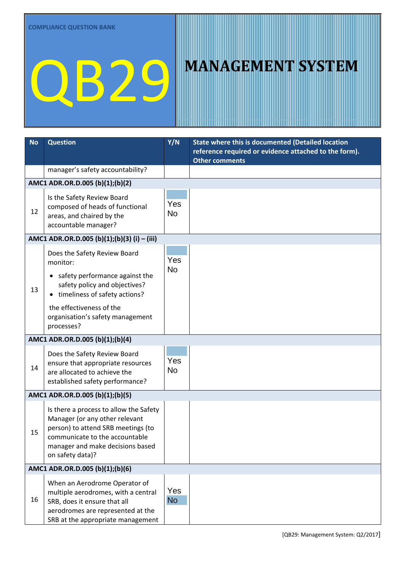| <b>No</b> | <b>Question</b>                                                                                                                                                                                                            | Y/N              | State where this is documented (Detailed location<br>reference required or evidence attached to the form).<br><b>Other comments</b> |  |  |
|-----------|----------------------------------------------------------------------------------------------------------------------------------------------------------------------------------------------------------------------------|------------------|-------------------------------------------------------------------------------------------------------------------------------------|--|--|
|           | manager's safety accountability?                                                                                                                                                                                           |                  |                                                                                                                                     |  |  |
|           | AMC1 ADR.OR.D.005 (b)(1);(b)(2)                                                                                                                                                                                            |                  |                                                                                                                                     |  |  |
| 12        | Is the Safety Review Board<br>composed of heads of functional<br>areas, and chaired by the<br>accountable manager?                                                                                                         | Yes<br><b>No</b> |                                                                                                                                     |  |  |
|           | AMC1 ADR.OR.D.005 (b)(1);(b)(3) (i) – (iii)                                                                                                                                                                                |                  |                                                                                                                                     |  |  |
| 13        | Does the Safety Review Board<br>monitor:<br>safety performance against the<br>safety policy and objectives?<br>timeliness of safety actions?<br>the effectiveness of the<br>organisation's safety management<br>processes? | Yes<br><b>No</b> |                                                                                                                                     |  |  |
|           | AMC1 ADR.OR.D.005 (b)(1);(b)(4)                                                                                                                                                                                            |                  |                                                                                                                                     |  |  |
| 14        | Does the Safety Review Board<br>ensure that appropriate resources<br>are allocated to achieve the<br>established safety performance?                                                                                       | Yes<br><b>No</b> |                                                                                                                                     |  |  |
|           | AMC1 ADR.OR.D.005 (b)(1);(b)(5)                                                                                                                                                                                            |                  |                                                                                                                                     |  |  |
| 15        | Is there a process to allow the Safety<br>Manager (or any other relevant<br>person) to attend SRB meetings (to<br>communicate to the accountable<br>manager and make decisions based<br>on safety data)?                   | Yes<br><b>No</b> |                                                                                                                                     |  |  |
|           | AMC1 ADR.OR.D.005 (b)(1);(b)(6)                                                                                                                                                                                            |                  |                                                                                                                                     |  |  |
| 16        | When an Aerodrome Operator of<br>multiple aerodromes, with a central<br>SRB, does it ensure that all<br>aerodromes are represented at the<br>SRB at the appropriate management                                             | Yes<br><b>No</b> |                                                                                                                                     |  |  |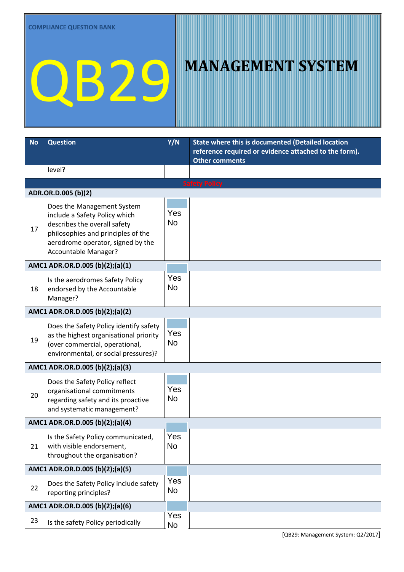| <b>No</b>                       | <b>Question</b>                                                                                                                                                                                | Y/N              | <b>State where this is documented (Detailed location</b><br>reference required or evidence attached to the form).<br>Other comments |
|---------------------------------|------------------------------------------------------------------------------------------------------------------------------------------------------------------------------------------------|------------------|-------------------------------------------------------------------------------------------------------------------------------------|
|                                 | level?                                                                                                                                                                                         |                  |                                                                                                                                     |
|                                 |                                                                                                                                                                                                |                  | <b>Safety Policy</b>                                                                                                                |
|                                 | ADR.OR.D.005 (b)(2)                                                                                                                                                                            |                  |                                                                                                                                     |
| 17                              | Does the Management System<br>include a Safety Policy which<br>describes the overall safety<br>philosophies and principles of the<br>aerodrome operator, signed by the<br>Accountable Manager? | Yes<br><b>No</b> |                                                                                                                                     |
|                                 | AMC1 ADR.OR.D.005 (b)(2);(a)(1)                                                                                                                                                                |                  |                                                                                                                                     |
| 18                              | Is the aerodromes Safety Policy<br>endorsed by the Accountable<br>Manager?                                                                                                                     | Yes<br><b>No</b> |                                                                                                                                     |
|                                 | AMC1 ADR.OR.D.005 (b)(2);(a)(2)                                                                                                                                                                |                  |                                                                                                                                     |
| 19                              | Does the Safety Policy identify safety<br>as the highest organisational priority<br>(over commercial, operational,<br>environmental, or social pressures)?                                     | Yes<br><b>No</b> |                                                                                                                                     |
| AMC1 ADR.OR.D.005 (b)(2);(a)(3) |                                                                                                                                                                                                |                  |                                                                                                                                     |
| 20                              | Does the Safety Policy reflect<br>organisational commitments<br>regarding safety and its proactive<br>and systematic management?                                                               | Yes<br><b>No</b> |                                                                                                                                     |
|                                 | AMC1 ADR.OR.D.005 (b)(2);(a)(4)                                                                                                                                                                |                  |                                                                                                                                     |
| 21                              | Is the Safety Policy communicated,<br>with visible endorsement,<br>throughout the organisation?                                                                                                | Yes<br><b>No</b> |                                                                                                                                     |
|                                 | AMC1 ADR.OR.D.005 (b)(2);(a)(5)                                                                                                                                                                |                  |                                                                                                                                     |
| 22                              | Does the Safety Policy include safety<br>reporting principles?                                                                                                                                 | Yes<br><b>No</b> |                                                                                                                                     |
|                                 | AMC1 ADR.OR.D.005 (b)(2);(a)(6)                                                                                                                                                                |                  |                                                                                                                                     |
| 23                              | Is the safety Policy periodically                                                                                                                                                              | Yes<br>No        |                                                                                                                                     |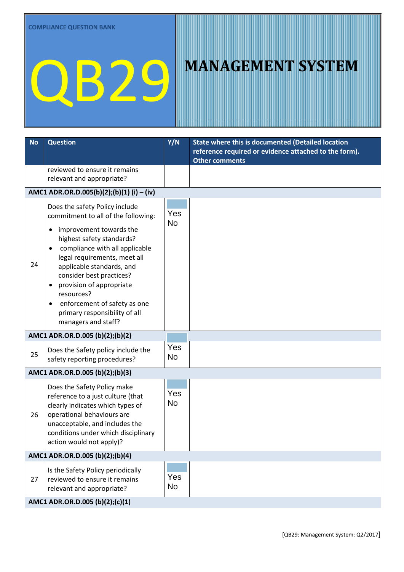| <b>No</b> | <b>Question</b>                                                                                                                                                                                                                                                                                                                         | Y/N              | State where this is documented (Detailed location<br>reference required or evidence attached to the form).<br><b>Other comments</b> |  |  |
|-----------|-----------------------------------------------------------------------------------------------------------------------------------------------------------------------------------------------------------------------------------------------------------------------------------------------------------------------------------------|------------------|-------------------------------------------------------------------------------------------------------------------------------------|--|--|
|           | reviewed to ensure it remains<br>relevant and appropriate?                                                                                                                                                                                                                                                                              |                  |                                                                                                                                     |  |  |
|           | AMC1 ADR.OR.D.005(b)(2);(b)(1) (i) – (iv)                                                                                                                                                                                                                                                                                               |                  |                                                                                                                                     |  |  |
| 24        | Does the safety Policy include<br>commitment to all of the following:<br>improvement towards the<br>٠<br>highest safety standards?<br>compliance with all applicable<br>legal requirements, meet all<br>applicable standards, and<br>consider best practices?<br>provision of appropriate<br>resources?<br>enforcement of safety as one | Yes<br><b>No</b> |                                                                                                                                     |  |  |
|           | primary responsibility of all<br>managers and staff?                                                                                                                                                                                                                                                                                    |                  |                                                                                                                                     |  |  |
|           | AMC1 ADR.OR.D.005 (b)(2);(b)(2)                                                                                                                                                                                                                                                                                                         |                  |                                                                                                                                     |  |  |
| 25        | Does the Safety policy include the<br>safety reporting procedures?                                                                                                                                                                                                                                                                      | Yes<br><b>No</b> |                                                                                                                                     |  |  |
|           | AMC1 ADR.OR.D.005 (b)(2);(b)(3)                                                                                                                                                                                                                                                                                                         |                  |                                                                                                                                     |  |  |
| 26        | Does the Safety Policy make<br>reference to a just culture (that<br>clearly indicates which types of<br>operational behaviours are<br>unacceptable, and includes the<br>conditions under which disciplinary<br>action would not apply)?                                                                                                 | Yes<br><b>No</b> |                                                                                                                                     |  |  |
|           | AMC1 ADR.OR.D.005 (b)(2);(b)(4)                                                                                                                                                                                                                                                                                                         |                  |                                                                                                                                     |  |  |
| 27        | Is the Safety Policy periodically<br>reviewed to ensure it remains<br>relevant and appropriate?                                                                                                                                                                                                                                         | Yes<br>No        |                                                                                                                                     |  |  |
|           | AMC1 ADR.OR.D.005 (b)(2);(c)(1)                                                                                                                                                                                                                                                                                                         |                  |                                                                                                                                     |  |  |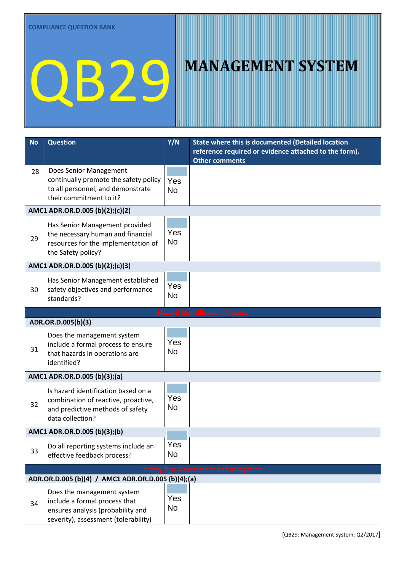| <b>No</b> | <b>Question</b>                                                                                                                          | Y/N              | State where this is documented (Detailed location                              |
|-----------|------------------------------------------------------------------------------------------------------------------------------------------|------------------|--------------------------------------------------------------------------------|
|           |                                                                                                                                          |                  | reference required or evidence attached to the form).<br><b>Other comments</b> |
| 28        | Does Senior Management<br>continually promote the safety policy<br>to all personnel, and demonstrate<br>their commitment to it?          | Yes<br><b>No</b> |                                                                                |
|           | AMC1 ADR.OR.D.005 (b)(2);(c)(2)                                                                                                          |                  |                                                                                |
| 29        | Has Senior Management provided<br>the necessary human and financial<br>resources for the implementation of<br>the Safety policy?         | Yes<br><b>No</b> |                                                                                |
|           | AMC1 ADR.OR.D.005 (b)(2);(c)(3)                                                                                                          |                  |                                                                                |
| 30        | Has Senior Management established<br>safety objectives and performance<br>standards?                                                     | Yes<br><b>No</b> |                                                                                |
|           |                                                                                                                                          |                  | <b>Hazard Identification Process</b>                                           |
|           | ADR.OR.D.005(b)(3)                                                                                                                       |                  |                                                                                |
| 31        | Does the management system<br>include a formal process to ensure<br>that hazards in operations are<br>identified?                        | Yes<br><b>No</b> |                                                                                |
|           | AMC1 ADR.OR.D.005 (b)(3);(a)                                                                                                             |                  |                                                                                |
| 32        | Is hazard identification based on a<br>combination of reactive, proactive,<br>and predictive methods of safety<br>data collection?       | Yes<br>No        |                                                                                |
|           | AMC1 ADR.OR.D.005 (b)(3);(b)                                                                                                             |                  |                                                                                |
| 33        | Do all reporting systems include an<br>effective feedback process?                                                                       | Yes<br><b>No</b> |                                                                                |
|           |                                                                                                                                          |                  | <b>Safety Risk Assessment and Mitigation</b>                                   |
|           | ADR.OR.D.005 (b)(4) / AMC1 ADR.OR.D.005 (b)(4);(a)                                                                                       |                  |                                                                                |
| 34        | Does the management system<br>include a formal process that<br>ensures analysis (probability and<br>severity), assessment (tolerability) | Yes<br><b>No</b> |                                                                                |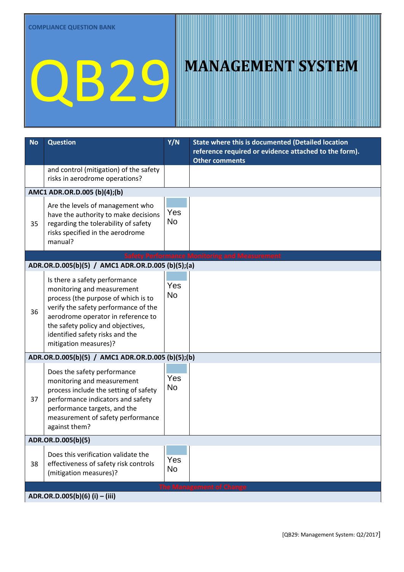| <b>No</b> | <b>Question</b>                                                                                                                                                                                                                                                                   | Y/N              | <b>State where this is documented (Detailed location</b>                       |  |  |
|-----------|-----------------------------------------------------------------------------------------------------------------------------------------------------------------------------------------------------------------------------------------------------------------------------------|------------------|--------------------------------------------------------------------------------|--|--|
|           |                                                                                                                                                                                                                                                                                   |                  | reference required or evidence attached to the form).<br><b>Other comments</b> |  |  |
|           | and control (mitigation) of the safety<br>risks in aerodrome operations?                                                                                                                                                                                                          |                  |                                                                                |  |  |
|           | AMC1 ADR.OR.D.005 (b)(4);(b)                                                                                                                                                                                                                                                      |                  |                                                                                |  |  |
| 35        | Are the levels of management who<br>have the authority to make decisions<br>regarding the tolerability of safety<br>risks specified in the aerodrome<br>manual?                                                                                                                   | Yes<br><b>No</b> |                                                                                |  |  |
|           |                                                                                                                                                                                                                                                                                   |                  | <b>Safety Performance Monitoring and Measurement</b>                           |  |  |
|           | ADR.OR.D.005(b)(5) / AMC1 ADR.OR.D.005 (b)(5);(a)                                                                                                                                                                                                                                 |                  |                                                                                |  |  |
| 36        | Is there a safety performance<br>monitoring and measurement<br>process (the purpose of which is to<br>verify the safety performance of the<br>aerodrome operator in reference to<br>the safety policy and objectives,<br>identified safety risks and the<br>mitigation measures)? | Yes<br><b>No</b> |                                                                                |  |  |
|           | ADR.OR.D.005(b)(5) / AMC1 ADR.OR.D.005 (b)(5);(b)                                                                                                                                                                                                                                 |                  |                                                                                |  |  |
| 37        | Does the safety performance<br>monitoring and measurement<br>process include the setting of safety<br>performance indicators and safety<br>performance targets, and the<br>measurement of safety performance<br>against them?                                                     | Yes<br><b>No</b> |                                                                                |  |  |
|           | ADR.OR.D.005(b)(5)                                                                                                                                                                                                                                                                |                  |                                                                                |  |  |
| 38        | Does this verification validate the<br>effectiveness of safety risk controls<br>(mitigation measures)?                                                                                                                                                                            | Yes<br><b>No</b> |                                                                                |  |  |
|           |                                                                                                                                                                                                                                                                                   |                  | <b>The Management of Change</b>                                                |  |  |
|           | ADR.OR.D.005(b)(6) (i) – (iii)                                                                                                                                                                                                                                                    |                  |                                                                                |  |  |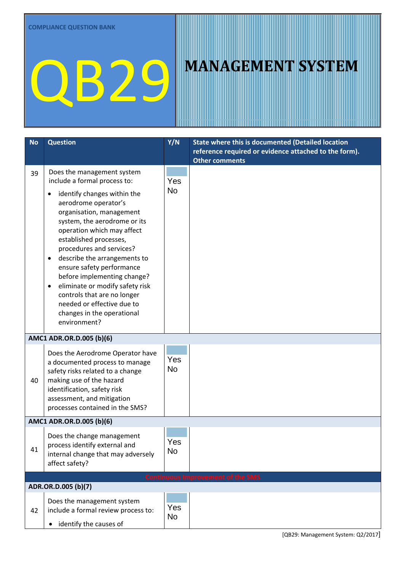| <b>No</b> | <b>Question</b>                                                                                                                                                                                                                                                                                                                                                                                                                                                                                                               | Y/N              | State where this is documented (Detailed location                              |
|-----------|-------------------------------------------------------------------------------------------------------------------------------------------------------------------------------------------------------------------------------------------------------------------------------------------------------------------------------------------------------------------------------------------------------------------------------------------------------------------------------------------------------------------------------|------------------|--------------------------------------------------------------------------------|
|           |                                                                                                                                                                                                                                                                                                                                                                                                                                                                                                                               |                  | reference required or evidence attached to the form).<br><b>Other comments</b> |
| 39        | Does the management system<br>include a formal process to:<br>identify changes within the<br>aerodrome operator's<br>organisation, management<br>system, the aerodrome or its<br>operation which may affect<br>established processes,<br>procedures and services?<br>describe the arrangements to<br>$\bullet$<br>ensure safety performance<br>before implementing change?<br>eliminate or modify safety risk<br>٠<br>controls that are no longer<br>needed or effective due to<br>changes in the operational<br>environment? | Yes<br><b>No</b> |                                                                                |
|           | AMC1 ADR.OR.D.005 (b)(6)                                                                                                                                                                                                                                                                                                                                                                                                                                                                                                      |                  |                                                                                |
| 40        | Does the Aerodrome Operator have<br>a documented process to manage<br>safety risks related to a change<br>making use of the hazard<br>identification, safety risk<br>assessment, and mitigation<br>processes contained in the SMS?                                                                                                                                                                                                                                                                                            | Yes<br><b>No</b> |                                                                                |
|           | AMC1 ADR.OR.D.005 (b)(6)                                                                                                                                                                                                                                                                                                                                                                                                                                                                                                      |                  |                                                                                |
| 41        | Does the change management<br>process identify external and<br>internal change that may adversely<br>affect safety?                                                                                                                                                                                                                                                                                                                                                                                                           | Yes<br><b>No</b> |                                                                                |
|           |                                                                                                                                                                                                                                                                                                                                                                                                                                                                                                                               |                  | <b>Continuous Improvement of the SMS</b>                                       |
|           | ADR.OR.D.005 (b)(7)                                                                                                                                                                                                                                                                                                                                                                                                                                                                                                           |                  |                                                                                |
| 42        | Does the management system<br>include a formal review process to:<br>identify the causes of                                                                                                                                                                                                                                                                                                                                                                                                                                   | Yes<br><b>No</b> |                                                                                |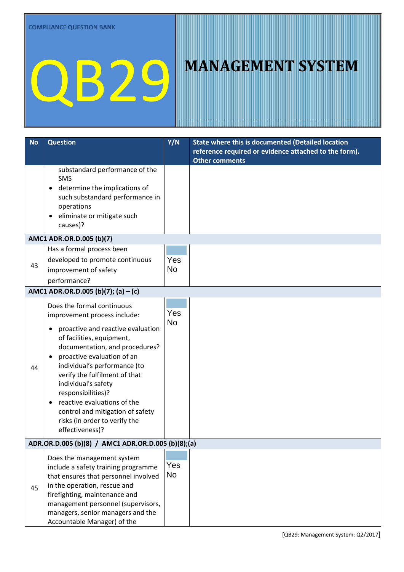| <b>No</b>                           | <b>Question</b>                                                                                                                                                                                                                                                                                                                                                                                                                   | Y/N              | State where this is documented (Detailed location<br>reference required or evidence attached to the form).<br><b>Other comments</b> |  |
|-------------------------------------|-----------------------------------------------------------------------------------------------------------------------------------------------------------------------------------------------------------------------------------------------------------------------------------------------------------------------------------------------------------------------------------------------------------------------------------|------------------|-------------------------------------------------------------------------------------------------------------------------------------|--|
|                                     | substandard performance of the<br><b>SMS</b><br>determine the implications of<br>such substandard performance in<br>operations<br>eliminate or mitigate such<br>causes)?                                                                                                                                                                                                                                                          |                  |                                                                                                                                     |  |
|                                     | AMC1 ADR.OR.D.005 (b)(7)                                                                                                                                                                                                                                                                                                                                                                                                          |                  |                                                                                                                                     |  |
| 43                                  | Has a formal process been<br>developed to promote continuous<br>improvement of safety<br>performance?                                                                                                                                                                                                                                                                                                                             | Yes<br><b>No</b> |                                                                                                                                     |  |
| AMC1 ADR.OR.D.005 (b)(7); (a) - (c) |                                                                                                                                                                                                                                                                                                                                                                                                                                   |                  |                                                                                                                                     |  |
| 44                                  | Does the formal continuous<br>improvement process include:<br>proactive and reactive evaluation<br>of facilities, equipment,<br>documentation, and procedures?<br>proactive evaluation of an<br>individual's performance (to<br>verify the fulfilment of that<br>individual's safety<br>responsibilities)?<br>reactive evaluations of the<br>control and mitigation of safety<br>risks (in order to verify the<br>effectiveness)? | Yes<br><b>No</b> |                                                                                                                                     |  |
|                                     | ADR.OR.D.005 (b)(8) / AMC1 ADR.OR.D.005 (b)(8);(a)                                                                                                                                                                                                                                                                                                                                                                                |                  |                                                                                                                                     |  |
| 45                                  | Does the management system<br>include a safety training programme<br>that ensures that personnel involved<br>in the operation, rescue and<br>firefighting, maintenance and<br>management personnel (supervisors,<br>managers, senior managers and the<br>Accountable Manager) of the                                                                                                                                              | Yes<br><b>No</b> |                                                                                                                                     |  |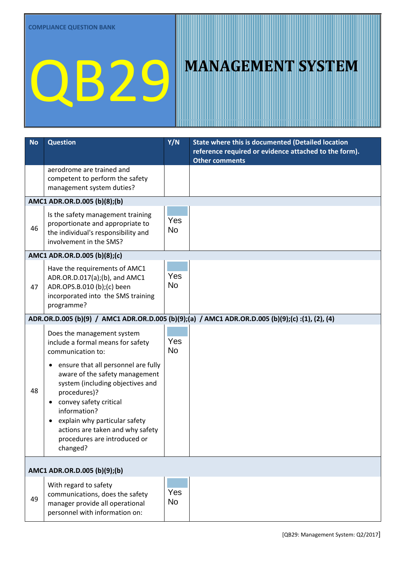| <b>No</b> | <b>Question</b>                                                                                                                                                                                                                                                                                                                                                                                                     | Y/N              | State where this is documented (Detailed location<br>reference required or evidence attached to the form).<br><b>Other comments</b> |  |
|-----------|---------------------------------------------------------------------------------------------------------------------------------------------------------------------------------------------------------------------------------------------------------------------------------------------------------------------------------------------------------------------------------------------------------------------|------------------|-------------------------------------------------------------------------------------------------------------------------------------|--|
|           | aerodrome are trained and<br>competent to perform the safety<br>management system duties?                                                                                                                                                                                                                                                                                                                           |                  |                                                                                                                                     |  |
|           | AMC1 ADR.OR.D.005 (b)(8);(b)                                                                                                                                                                                                                                                                                                                                                                                        |                  |                                                                                                                                     |  |
| 46        | Is the safety management training<br>proportionate and appropriate to<br>the individual's responsibility and<br>involvement in the SMS?                                                                                                                                                                                                                                                                             | Yes<br><b>No</b> |                                                                                                                                     |  |
|           | AMC1 ADR.OR.D.005 (b)(8);(c)                                                                                                                                                                                                                                                                                                                                                                                        |                  |                                                                                                                                     |  |
| 47        | Have the requirements of AMC1<br>ADR.OR.D.017(a);(b), and AMC1<br>ADR.OPS.B.010 (b);(c) been<br>incorporated into the SMS training<br>programme?                                                                                                                                                                                                                                                                    | Yes<br><b>No</b> |                                                                                                                                     |  |
|           |                                                                                                                                                                                                                                                                                                                                                                                                                     |                  | ADR.OR.D.005 (b)(9) / AMC1 ADR.OR.D.005 (b)(9);(a) / AMC1 ADR.OR.D.005 (b)(9);(c) :(1), (2), (4)                                    |  |
| 48        | Does the management system<br>include a formal means for safety<br>communication to:<br>ensure that all personnel are fully<br>$\bullet$<br>aware of the safety management<br>system (including objectives and<br>procedures)?<br>convey safety critical<br>$\bullet$<br>information?<br>explain why particular safety<br>$\bullet$<br>actions are taken and why safety<br>procedures are introduced or<br>changed? | Yes<br><b>No</b> |                                                                                                                                     |  |
|           | AMC1 ADR.OR.D.005 (b)(9);(b)                                                                                                                                                                                                                                                                                                                                                                                        |                  |                                                                                                                                     |  |
| 49        | With regard to safety<br>communications, does the safety<br>manager provide all operational<br>personnel with information on:                                                                                                                                                                                                                                                                                       | Yes<br><b>No</b> |                                                                                                                                     |  |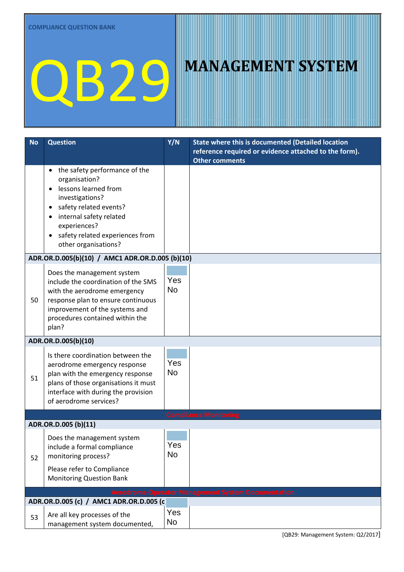| <b>No</b>           | <b>Question</b>                                                                                                                                                                                                                | Y/N              | State where this is documented (Detailed location                              |  |
|---------------------|--------------------------------------------------------------------------------------------------------------------------------------------------------------------------------------------------------------------------------|------------------|--------------------------------------------------------------------------------|--|
|                     |                                                                                                                                                                                                                                |                  | reference required or evidence attached to the form).<br><b>Other comments</b> |  |
|                     | the safety performance of the<br>٠<br>organisation?<br>lessons learned from<br>investigations?<br>safety related events?<br>internal safety related<br>experiences?<br>safety related experiences from<br>other organisations? |                  |                                                                                |  |
|                     | ADR.OR.D.005(b)(10) / AMC1 ADR.OR.D.005 (b)(10)                                                                                                                                                                                |                  |                                                                                |  |
| 50                  | Does the management system<br>include the coordination of the SMS<br>with the aerodrome emergency<br>response plan to ensure continuous<br>improvement of the systems and<br>procedures contained within the<br>plan?          | Yes<br><b>No</b> |                                                                                |  |
| ADR.OR.D.005(b)(10) |                                                                                                                                                                                                                                |                  |                                                                                |  |
| 51                  | Is there coordination between the<br>aerodrome emergency response<br>plan with the emergency response<br>plans of those organisations it must<br>interface with during the provision<br>of aerodrome services?                 | Yes<br><b>No</b> |                                                                                |  |
|                     |                                                                                                                                                                                                                                |                  | <b>Compliance Monitoring</b>                                                   |  |
|                     | ADR.OR.D.005 (b)(11)                                                                                                                                                                                                           |                  |                                                                                |  |
| 52                  | Does the management system<br>include a formal compliance<br>monitoring process?<br>Please refer to Compliance<br><b>Monitoring Question Bank</b>                                                                              | Yes<br>No        |                                                                                |  |
|                     |                                                                                                                                                                                                                                |                  | <b>Aerodrome Operator Management System Documentation</b>                      |  |
|                     | ADR.OR.D.005 (c) / AMC1 ADR.OR.D.005 (c)                                                                                                                                                                                       |                  |                                                                                |  |
| 53                  | Are all key processes of the<br>management system documented,                                                                                                                                                                  | Yes<br>No.       |                                                                                |  |

[QB29: Management System: Q2/2017]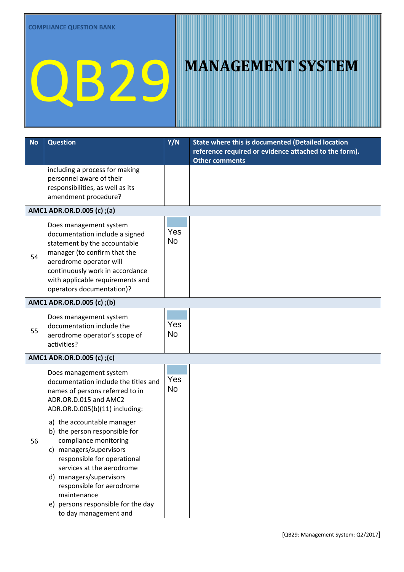| <b>No</b> | <b>Question</b>                                                                                                                                                                                                                                                                                                   | Y/N              | State where this is documented (Detailed location<br>reference required or evidence attached to the form).<br><b>Other comments</b> |
|-----------|-------------------------------------------------------------------------------------------------------------------------------------------------------------------------------------------------------------------------------------------------------------------------------------------------------------------|------------------|-------------------------------------------------------------------------------------------------------------------------------------|
|           | including a process for making<br>personnel aware of their<br>responsibilities, as well as its<br>amendment procedure?                                                                                                                                                                                            |                  |                                                                                                                                     |
|           | AMC1 ADR.OR.D.005 (c);(a)                                                                                                                                                                                                                                                                                         |                  |                                                                                                                                     |
| 54        | Does management system<br>documentation include a signed<br>statement by the accountable<br>manager (to confirm that the<br>aerodrome operator will<br>continuously work in accordance<br>with applicable requirements and<br>operators documentation)?                                                           | Yes<br><b>No</b> |                                                                                                                                     |
|           | AMC1 ADR.OR.D.005 (c);(b)                                                                                                                                                                                                                                                                                         |                  |                                                                                                                                     |
| 55        | Does management system<br>documentation include the<br>aerodrome operator's scope of<br>activities?                                                                                                                                                                                                               | Yes<br><b>No</b> |                                                                                                                                     |
|           | AMC1 ADR.OR.D.005 (c);(c)                                                                                                                                                                                                                                                                                         |                  |                                                                                                                                     |
|           | Does management system<br>documentation include the titles and<br>names of persons referred to in<br>ADR.OR.D.015 and AMC2<br>ADR.OR.D.005(b)(11) including:                                                                                                                                                      | Yes<br><b>No</b> |                                                                                                                                     |
| 56        | a) the accountable manager<br>b) the person responsible for<br>compliance monitoring<br>c) managers/supervisors<br>responsible for operational<br>services at the aerodrome<br>d) managers/supervisors<br>responsible for aerodrome<br>maintenance<br>e) persons responsible for the day<br>to day management and |                  |                                                                                                                                     |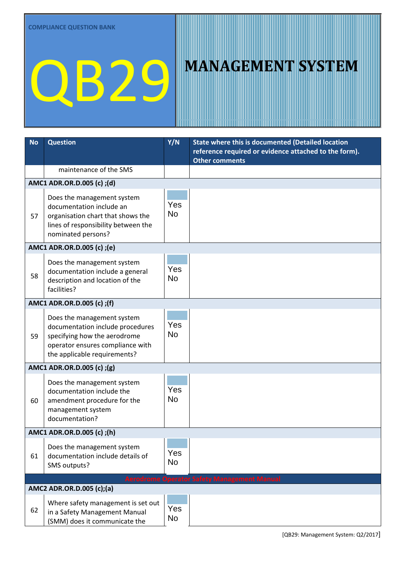| <b>No</b>                                          | <b>Question</b>                                                                                                                                                    | Y/N              | State where this is documented (Detailed location<br>reference required or evidence attached to the form).<br><b>Other comments</b> |  |  |
|----------------------------------------------------|--------------------------------------------------------------------------------------------------------------------------------------------------------------------|------------------|-------------------------------------------------------------------------------------------------------------------------------------|--|--|
|                                                    | maintenance of the SMS                                                                                                                                             |                  |                                                                                                                                     |  |  |
|                                                    | AMC1 ADR.OR.D.005 (c);(d)                                                                                                                                          |                  |                                                                                                                                     |  |  |
| 57                                                 | Does the management system<br>documentation include an<br>organisation chart that shows the<br>lines of responsibility between the<br>nominated persons?           | Yes<br><b>No</b> |                                                                                                                                     |  |  |
|                                                    | AMC1 ADR.OR.D.005 (c);(e)                                                                                                                                          |                  |                                                                                                                                     |  |  |
| 58                                                 | Does the management system<br>documentation include a general<br>description and location of the<br>facilities?                                                    | Yes<br><b>No</b> |                                                                                                                                     |  |  |
|                                                    | AMC1 ADR.OR.D.005 (c); (f)                                                                                                                                         |                  |                                                                                                                                     |  |  |
| 59                                                 | Does the management system<br>documentation include procedures<br>specifying how the aerodrome<br>operator ensures compliance with<br>the applicable requirements? | Yes<br><b>No</b> |                                                                                                                                     |  |  |
| AMC1 ADR.OR.D.005 (c);(g)                          |                                                                                                                                                                    |                  |                                                                                                                                     |  |  |
| 60                                                 | Does the management system<br>documentation include the<br>amendment procedure for the<br>management system<br>documentation?                                      | Yes<br><b>No</b> |                                                                                                                                     |  |  |
| AMC1 ADR.OR.D.005 (c);(h)                          |                                                                                                                                                                    |                  |                                                                                                                                     |  |  |
| 61                                                 | Does the management system<br>documentation include details of<br>SMS outputs?                                                                                     | Yes<br>No        |                                                                                                                                     |  |  |
| <b>Aerodrome Operator Safety Management Manual</b> |                                                                                                                                                                    |                  |                                                                                                                                     |  |  |
| 62                                                 | AMC2 ADR.OR.D.005 (c);(a)<br>Where safety management is set out<br>in a Safety Management Manual<br>(SMM) does it communicate the                                  | Yes<br>No        |                                                                                                                                     |  |  |